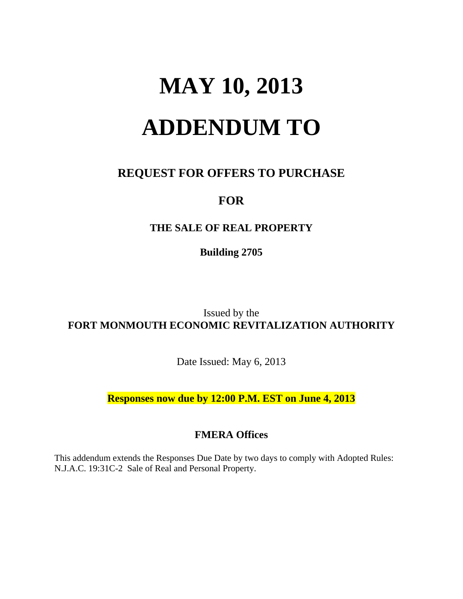# **MAY 10, 2013 ADDENDUM TO**

## **REQUEST FOR OFFERS TO PURCHASE**

## **FOR**

### **THE SALE OF REAL PROPERTY**

**Building 2705** 

Issued by the **FORT MONMOUTH ECONOMIC REVITALIZATION AUTHORITY** 

Date Issued: May 6, 2013

**Responses now due by 12:00 P.M. EST on June 4, 2013** 

### **FMERA Offices**

This addendum extends the Responses Due Date by two days to comply with Adopted Rules: N.J.A.C. 19:31C-2 Sale of Real and Personal Property.